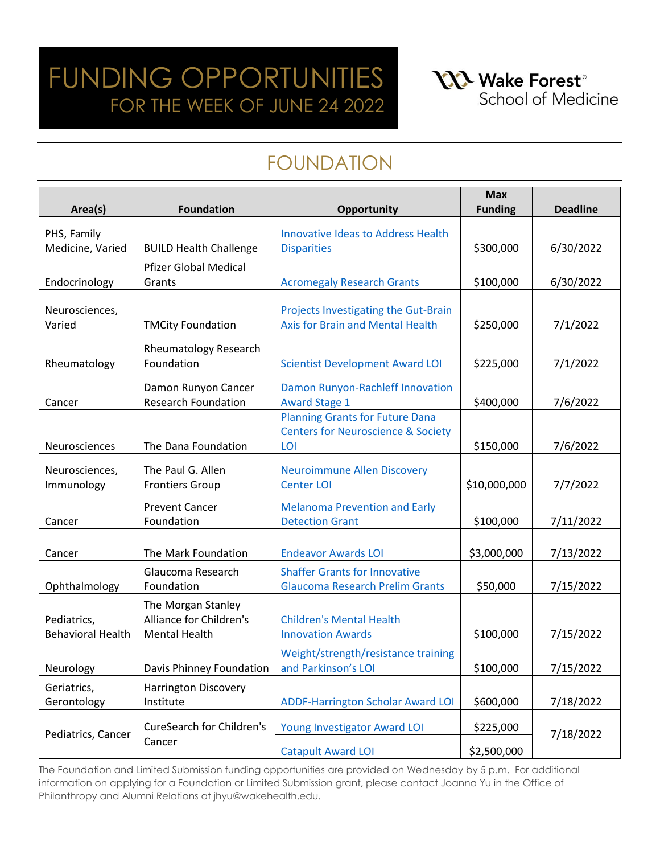### FUNDING OPPORTUNITIES FOR THE WEEK OF JUNE 24 2022

**NA** Wake Forest<sup>®</sup> School of Medicine

### FOUNDATION

|                          |                                  |                                               | <b>Max</b>     |                 |
|--------------------------|----------------------------------|-----------------------------------------------|----------------|-----------------|
| Area(s)                  | <b>Foundation</b>                | Opportunity                                   | <b>Funding</b> | <b>Deadline</b> |
| PHS, Family              |                                  | <b>Innovative Ideas to Address Health</b>     |                |                 |
| Medicine, Varied         | <b>BUILD Health Challenge</b>    | <b>Disparities</b>                            | \$300,000      | 6/30/2022       |
|                          | <b>Pfizer Global Medical</b>     |                                               |                |                 |
| Endocrinology            | Grants                           | <b>Acromegaly Research Grants</b>             | \$100,000      | 6/30/2022       |
|                          |                                  |                                               |                |                 |
| Neurosciences,           |                                  | Projects Investigating the Gut-Brain          |                |                 |
| Varied                   | <b>TMCity Foundation</b>         | Axis for Brain and Mental Health              | \$250,000      | 7/1/2022        |
|                          | <b>Rheumatology Research</b>     |                                               |                |                 |
| Rheumatology             | Foundation                       | <b>Scientist Development Award LOI</b>        | \$225,000      | 7/1/2022        |
|                          | Damon Runyon Cancer              | Damon Runyon-Rachleff Innovation              |                |                 |
| Cancer                   | <b>Research Foundation</b>       | <b>Award Stage 1</b>                          | \$400,000      | 7/6/2022        |
|                          |                                  | <b>Planning Grants for Future Dana</b>        |                |                 |
|                          |                                  | <b>Centers for Neuroscience &amp; Society</b> |                |                 |
| Neurosciences            | The Dana Foundation              | LOI                                           | \$150,000      | 7/6/2022        |
| Neurosciences,           | The Paul G. Allen                | <b>Neuroimmune Allen Discovery</b>            |                |                 |
| Immunology               | <b>Frontiers Group</b>           | <b>Center LOI</b>                             | \$10,000,000   | 7/7/2022        |
|                          |                                  |                                               |                |                 |
|                          | <b>Prevent Cancer</b>            | <b>Melanoma Prevention and Early</b>          |                |                 |
| Cancer                   | Foundation                       | <b>Detection Grant</b>                        | \$100,000      | 7/11/2022       |
| Cancer                   | The Mark Foundation              | <b>Endeavor Awards LOI</b>                    | \$3,000,000    | 7/13/2022       |
|                          | Glaucoma Research                | <b>Shaffer Grants for Innovative</b>          |                |                 |
| Ophthalmology            | Foundation                       | <b>Glaucoma Research Prelim Grants</b>        | \$50,000       | 7/15/2022       |
|                          | The Morgan Stanley               |                                               |                |                 |
| Pediatrics,              | Alliance for Children's          | <b>Children's Mental Health</b>               |                |                 |
| <b>Behavioral Health</b> | <b>Mental Health</b>             | <b>Innovation Awards</b>                      | \$100,000      | 7/15/2022       |
|                          |                                  | Weight/strength/resistance training           |                |                 |
| Neurology                | Davis Phinney Foundation         | and Parkinson's LOI                           | \$100,000      | 7/15/2022       |
| Geriatrics,              | <b>Harrington Discovery</b>      |                                               |                |                 |
| Gerontology              | Institute                        | <b>ADDF-Harrington Scholar Award LOI</b>      | \$600,000      | 7/18/2022       |
|                          |                                  |                                               |                |                 |
| Pediatrics, Cancer       | <b>CureSearch for Children's</b> | Young Investigator Award LOI                  | \$225,000      | 7/18/2022       |
|                          | Cancer                           | <b>Catapult Award LOI</b>                     | \$2,500,000    |                 |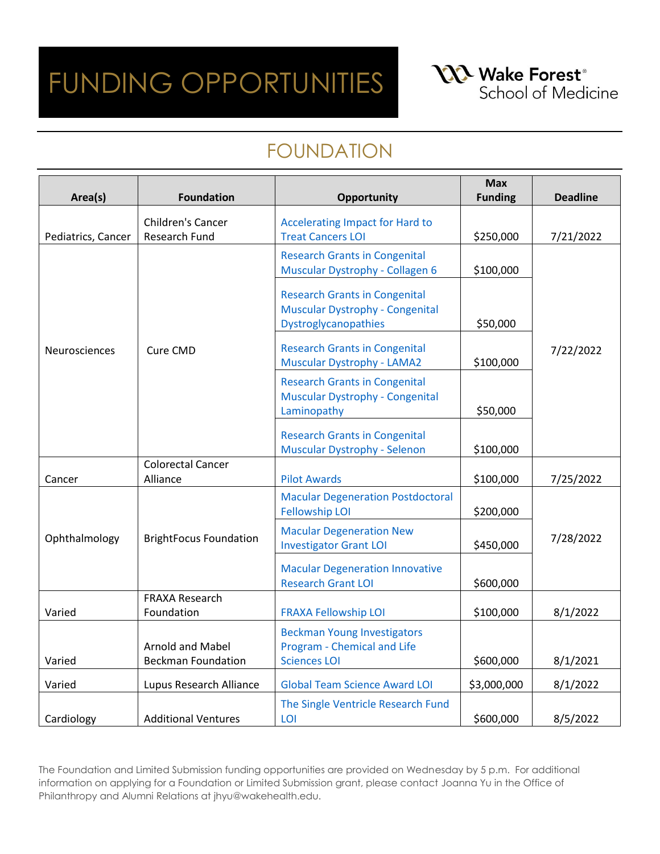**NA** Wake Forest<sup>®</sup> School of Medicine

### FOUNDATION

| Area(s)            | <b>Foundation</b>                             | <b>Opportunity</b>                                                                                     | <b>Max</b><br><b>Funding</b> | <b>Deadline</b> |
|--------------------|-----------------------------------------------|--------------------------------------------------------------------------------------------------------|------------------------------|-----------------|
| Pediatrics, Cancer | Children's Cancer<br>Research Fund            | <b>Accelerating Impact for Hard to</b><br><b>Treat Cancers LOI</b>                                     | \$250,000                    | 7/21/2022       |
|                    |                                               | <b>Research Grants in Congenital</b><br>Muscular Dystrophy - Collagen 6                                | \$100,000                    |                 |
|                    |                                               | <b>Research Grants in Congenital</b><br><b>Muscular Dystrophy - Congenital</b><br>Dystroglycanopathies | \$50,000                     |                 |
| Neurosciences      | Cure CMD                                      | <b>Research Grants in Congenital</b><br><b>Muscular Dystrophy - LAMA2</b>                              | \$100,000                    | 7/22/2022       |
|                    |                                               | <b>Research Grants in Congenital</b><br>Muscular Dystrophy - Congenital<br>Laminopathy                 | \$50,000                     |                 |
|                    |                                               | <b>Research Grants in Congenital</b><br>Muscular Dystrophy - Selenon                                   | \$100,000                    |                 |
| Cancer             | <b>Colorectal Cancer</b><br>Alliance          | <b>Pilot Awards</b>                                                                                    | \$100,000                    | 7/25/2022       |
|                    |                                               | <b>Macular Degeneration Postdoctoral</b><br><b>Fellowship LOI</b>                                      | \$200,000                    |                 |
| Ophthalmology      | <b>BrightFocus Foundation</b>                 | <b>Macular Degeneration New</b><br><b>Investigator Grant LOI</b>                                       | \$450,000                    | 7/28/2022       |
|                    |                                               | <b>Macular Degeneration Innovative</b><br><b>Research Grant LOI</b>                                    | \$600,000                    |                 |
| Varied             | <b>FRAXA Research</b><br>Foundation           | <b>FRAXA Fellowship LOI</b>                                                                            | \$100,000                    | 8/1/2022        |
| Varied             | Arnold and Mabel<br><b>Beckman Foundation</b> | <b>Beckman Young Investigators</b><br>Program - Chemical and Life<br><b>Sciences LOI</b>               | \$600,000                    | 8/1/2021        |
| Varied             | Lupus Research Alliance                       | <b>Global Team Science Award LOI</b>                                                                   | \$3,000,000                  | 8/1/2022        |
| Cardiology         | <b>Additional Ventures</b>                    | The Single Ventricle Research Fund<br>LOI                                                              | \$600,000                    | 8/5/2022        |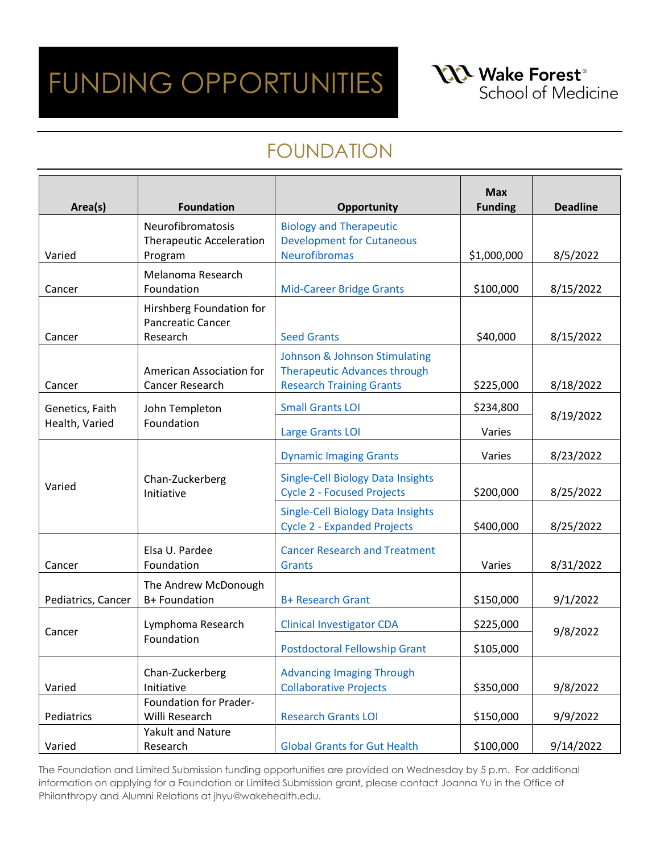**NA** Wake Forest<sup>®</sup> School of Medicine

#### FOUNDATION

| Area(s)            | <b>Foundation</b>                                                | <b>Opportunity</b>                                                             | <b>Max</b><br><b>Funding</b> | <b>Deadline</b> |
|--------------------|------------------------------------------------------------------|--------------------------------------------------------------------------------|------------------------------|-----------------|
|                    | Neurofibromatosis<br><b>Therapeutic Acceleration</b>             | <b>Biology and Therapeutic</b><br><b>Development for Cutaneous</b>             |                              |                 |
| Varied             | Program                                                          | <b>Neurofibromas</b>                                                           | \$1,000,000                  | 8/5/2022        |
| Cancer             | Melanoma Research<br>Foundation                                  | <b>Mid-Career Bridge Grants</b>                                                | \$100,000                    | 8/15/2022       |
| Cancer             | Hirshberg Foundation for<br><b>Pancreatic Cancer</b><br>Research | <b>Seed Grants</b>                                                             | \$40,000                     | 8/15/2022       |
|                    |                                                                  | <b>Johnson &amp; Johnson Stimulating</b>                                       |                              |                 |
| Cancer             | American Association for<br>Cancer Research                      | <b>Therapeutic Advances through</b><br><b>Research Training Grants</b>         | \$225,000                    | 8/18/2022       |
| Genetics, Faith    | John Templeton                                                   | <b>Small Grants LOI</b>                                                        | \$234,800                    |                 |
| Health, Varied     | Foundation                                                       | Large Grants LOI                                                               | Varies                       | 8/19/2022       |
|                    |                                                                  | <b>Dynamic Imaging Grants</b>                                                  | Varies                       | 8/23/2022       |
| Varied             | Chan-Zuckerberg<br>Initiative                                    | <b>Single-Cell Biology Data Insights</b><br><b>Cycle 2 - Focused Projects</b>  | \$200,000                    | 8/25/2022       |
|                    |                                                                  | <b>Single-Cell Biology Data Insights</b><br><b>Cycle 2 - Expanded Projects</b> | \$400,000                    | 8/25/2022       |
| Cancer             | Elsa U. Pardee<br>Foundation                                     | <b>Cancer Research and Treatment</b><br>Grants                                 | Varies                       | 8/31/2022       |
| Pediatrics, Cancer | The Andrew McDonough<br>B+ Foundation                            | <b>B+ Research Grant</b>                                                       | \$150,000                    | 9/1/2022        |
| Cancer             | Lymphoma Research                                                | <b>Clinical Investigator CDA</b>                                               | \$225,000                    | 9/8/2022        |
|                    | Foundation                                                       | <b>Postdoctoral Fellowship Grant</b>                                           | \$105,000                    |                 |
| Varied             | Chan-Zuckerberg<br>Initiative                                    | <b>Advancing Imaging Through</b><br><b>Collaborative Projects</b>              | \$350,000                    | 9/8/2022        |
| Pediatrics         | Foundation for Prader-<br>Willi Research                         | <b>Research Grants LOI</b>                                                     | \$150,000                    | 9/9/2022        |
|                    | Yakult and Nature                                                |                                                                                |                              |                 |
| Varied             | Research                                                         | <b>Global Grants for Gut Health</b>                                            | \$100,000                    | 9/14/2022       |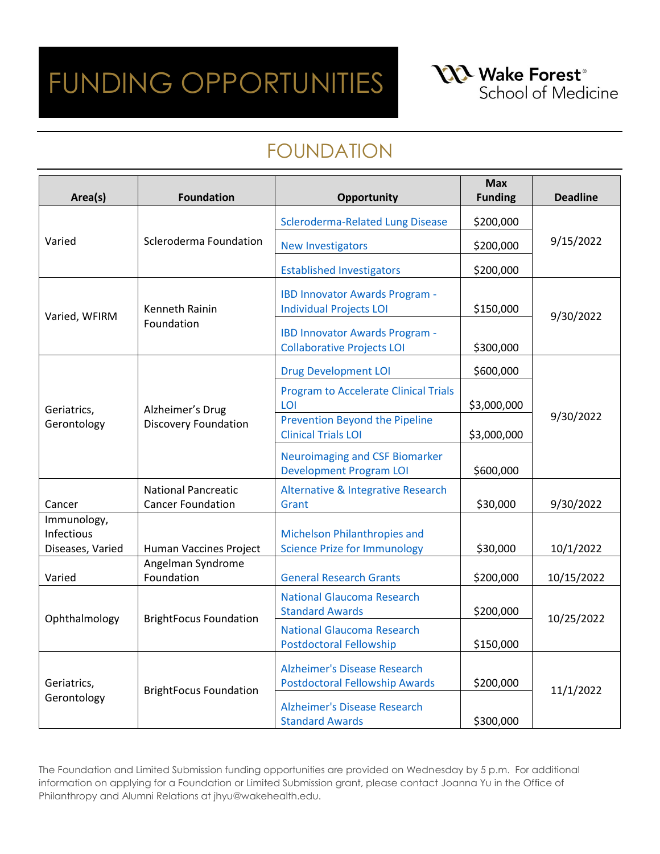**NA** Wake Forest<sup>®</sup> School of Medicine

### FOUNDATION

| Area(s)                                       | <b>Foundation</b>                                      | Opportunity                                                                  | <b>Max</b><br><b>Funding</b> | <b>Deadline</b> |
|-----------------------------------------------|--------------------------------------------------------|------------------------------------------------------------------------------|------------------------------|-----------------|
| Varied                                        | Scleroderma Foundation                                 | <b>Scleroderma-Related Lung Disease</b>                                      | \$200,000                    | 9/15/2022       |
|                                               |                                                        | <b>New Investigators</b>                                                     | \$200,000                    |                 |
|                                               |                                                        | <b>Established Investigators</b>                                             | \$200,000                    |                 |
| Varied, WFIRM                                 | <b>Kenneth Rainin</b><br>Foundation                    | <b>IBD Innovator Awards Program -</b><br><b>Individual Projects LOI</b>      | \$150,000                    | 9/30/2022       |
|                                               |                                                        | <b>IBD Innovator Awards Program -</b><br><b>Collaborative Projects LOI</b>   | \$300,000                    |                 |
|                                               |                                                        | <b>Drug Development LOI</b>                                                  | \$600,000                    |                 |
| Geriatrics,                                   | Alzheimer's Drug<br><b>Discovery Foundation</b>        | <b>Program to Accelerate Clinical Trials</b><br>LOI                          | \$3,000,000                  | 9/30/2022       |
| Gerontology                                   |                                                        | Prevention Beyond the Pipeline<br><b>Clinical Trials LOI</b>                 | \$3,000,000                  |                 |
|                                               |                                                        | <b>Neuroimaging and CSF Biomarker</b><br><b>Development Program LOI</b>      | \$600,000                    |                 |
| Cancer                                        | <b>National Pancreatic</b><br><b>Cancer Foundation</b> | Alternative & Integrative Research<br>Grant                                  | \$30,000                     | 9/30/2022       |
| Immunology,<br>Infectious<br>Diseases, Varied | Human Vaccines Project                                 | Michelson Philanthropies and<br><b>Science Prize for Immunology</b>          | \$30,000                     | 10/1/2022       |
| Varied                                        | Angelman Syndrome<br>Foundation                        | <b>General Research Grants</b>                                               | \$200,000                    | 10/15/2022      |
| Ophthalmology                                 | <b>BrightFocus Foundation</b>                          | <b>National Glaucoma Research</b><br><b>Standard Awards</b>                  | \$200,000                    | 10/25/2022      |
|                                               |                                                        | <b>National Glaucoma Research</b><br><b>Postdoctoral Fellowship</b>          | \$150,000                    |                 |
| Geriatrics,<br>Gerontology                    | <b>BrightFocus Foundation</b>                          | <b>Alzheimer's Disease Research</b><br><b>Postdoctoral Fellowship Awards</b> | \$200,000                    | 11/1/2022       |
|                                               |                                                        | <b>Alzheimer's Disease Research</b><br><b>Standard Awards</b>                | \$300,000                    |                 |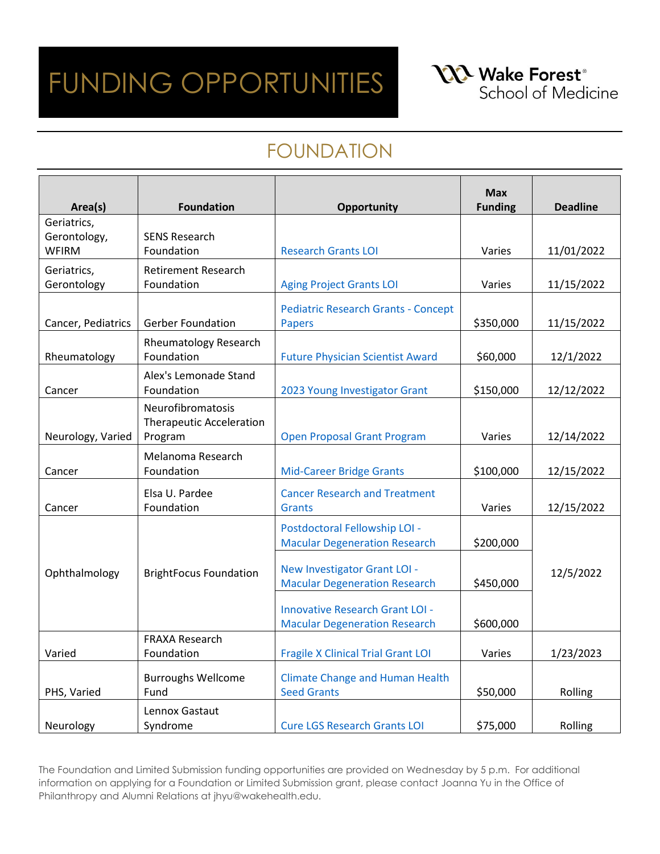**NA** Wake Forest<sup>®</sup> School of Medicine

### FOUNDATION

|                        |                                 |                                                                                | <b>Max</b>     |                 |
|------------------------|---------------------------------|--------------------------------------------------------------------------------|----------------|-----------------|
| Area(s)<br>Geriatrics, | <b>Foundation</b>               | Opportunity                                                                    | <b>Funding</b> | <b>Deadline</b> |
| Gerontology,           | <b>SENS Research</b>            |                                                                                |                |                 |
| <b>WFIRM</b>           | Foundation                      | <b>Research Grants LOI</b>                                                     | Varies         | 11/01/2022      |
| Geriatrics,            | <b>Retirement Research</b>      |                                                                                |                |                 |
| Gerontology            | Foundation                      | <b>Aging Project Grants LOI</b>                                                | Varies         | 11/15/2022      |
|                        |                                 | <b>Pediatric Research Grants - Concept</b>                                     |                |                 |
| Cancer, Pediatrics     | <b>Gerber Foundation</b>        | <b>Papers</b>                                                                  | \$350,000      | 11/15/2022      |
|                        | <b>Rheumatology Research</b>    |                                                                                |                |                 |
| Rheumatology           | Foundation                      | <b>Future Physician Scientist Award</b>                                        | \$60,000       | 12/1/2022       |
|                        | Alex's Lemonade Stand           |                                                                                |                |                 |
| Cancer                 | Foundation                      | 2023 Young Investigator Grant                                                  | \$150,000      | 12/12/2022      |
|                        | Neurofibromatosis               |                                                                                |                |                 |
|                        | <b>Therapeutic Acceleration</b> |                                                                                |                |                 |
| Neurology, Varied      | Program                         | <b>Open Proposal Grant Program</b>                                             | Varies         | 12/14/2022      |
|                        | Melanoma Research               |                                                                                |                |                 |
| Cancer                 | Foundation                      | <b>Mid-Career Bridge Grants</b>                                                | \$100,000      | 12/15/2022      |
|                        | Elsa U. Pardee                  | <b>Cancer Research and Treatment</b>                                           |                |                 |
| Cancer                 | Foundation                      | <b>Grants</b>                                                                  | Varies         | 12/15/2022      |
|                        |                                 | Postdoctoral Fellowship LOI -                                                  |                |                 |
|                        |                                 | <b>Macular Degeneration Research</b>                                           | \$200,000      |                 |
|                        |                                 | New Investigator Grant LOI -                                                   |                |                 |
| Ophthalmology          | <b>BrightFocus Foundation</b>   | <b>Macular Degeneration Research</b>                                           | \$450,000      | 12/5/2022       |
|                        |                                 |                                                                                |                |                 |
|                        |                                 | <b>Innovative Research Grant LOI -</b><br><b>Macular Degeneration Research</b> | \$600,000      |                 |
|                        | <b>FRAXA Research</b>           |                                                                                |                |                 |
| Varied                 | Foundation                      | <b>Fragile X Clinical Trial Grant LOI</b>                                      | Varies         | 1/23/2023       |
|                        | <b>Burroughs Wellcome</b>       | <b>Climate Change and Human Health</b>                                         |                |                 |
| PHS, Varied            | Fund                            | <b>Seed Grants</b>                                                             | \$50,000       | Rolling         |
|                        | Lennox Gastaut                  |                                                                                |                |                 |
| Neurology              | Syndrome                        | <b>Cure LGS Research Grants LOI</b>                                            | \$75,000       | Rolling         |